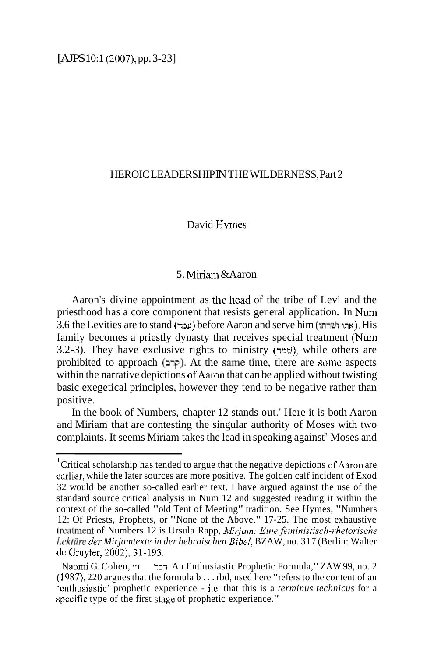#### HEROIC LEADERSHIP IN THE WILDERNESS, Part 2

### David Hymes

# 5. Miriam  $&$  Aaron

Aaron's divine appointment as the head of the tribe of Levi and the priesthood has a core component that resists general application. In Num 3.6 the Levities are to stand **(**עמד) before Aaron and serve him (אחו ושרחו). His family becomes a priestly dynasty that receives special treatment (Num 3.2-3). They have exclusive rights to ministry ( $w$ ), while others are prohibited to approach (2~~7). At the same time, there are some aspects within the narrative depictions of Aaron that can be applied without twisting basic exegetical principles, however they tend to be negative rather than positive.

In the book of Numbers, chapter 12 stands out.' Here it is both Aaron and Miriam that are contesting the singular authority of Moses with two complaints. It seems Miriam takes the lead in speaking against<sup>2</sup> Moses and

Critical scholarship has tended to argue that the negative depictions of Aaron are earlier, while the Iater sources are more positive. The golden calf incident of Exod 32 would be another so-called earlier text. I have argued against the use of the standard source critical analysis in Num 12 and suggested reading it within the context of the so-called "old Tent of Meeting" tradition. See Hymes, "Numbers 12: Of Priests, Prophets, or "None of the Above," 17-25. The most exhaustive Ircatment of Numbers 12 is Ursula Rapp, *Mirjam: Eine feministisch-rhetorische I.i,li/iire der Mirjamtexte in der hebraischen Bibel,* BZAW, no. 3 17 (Berlin: Walter de Gruyter, 2002), 31-193.

Naomi G. Cohen, "I דבר An Enthusiastic Prophetic Formula," ZAW 99, no. 2 ( 1987), 220 argues that the formula b . . . rbd, used here "refers to the content of an 'onthusiastic' prophetic experience - i.e. that this is a *terminus technicus* for a specific type of the first stage of prophetic experience."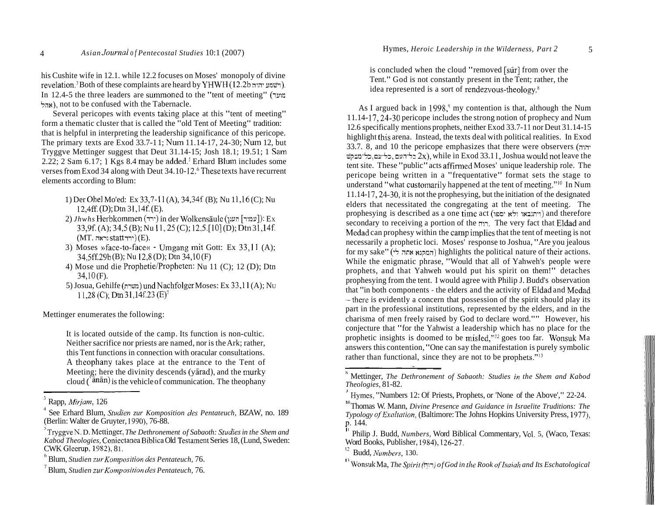his Cushite wife in 12.1. while 12.2 focuses on Moses' monopoly of divine re~elation.~ Both of these complaints are heard by YHWFI (12.2b **;n;19** unw-1). In 12.4-5 the three leaders are summoned to the "tent of meeting" (מועד) hu), not to be confused with the Tabernacle.

Several pericopes with events taking place at this "tent of meeting" form a thematic cluster that is called the "old Tent of Meeting" tradition: that is helpful in interpreting the leadership significance of this pericope. The primary texts are Exod 33.7-11; Num 11.14-17, 24-30; Num 12, but Tryggve Mettinger suggest that Deut 3 1.14-15; Josh 18.1; 19.51; 1 Sam 2.22; 2 Sam  $6.17$ ; 1 Kgs  $8.4$  may be added.<sup>5</sup> Erhard Blum includes some verses from Exod 34 along with Deut  $34.10$ - $12.6$  These texts have recurrent elements according to Blum:

- 1) Der Ohel Mo'ed: Ex 33,7-11 (A), 34,34f (B); Nu 1 1,16 (C); Nu  $12,4ff.$  (D); Dtn  $31,14f.$  (E).
- 2) *Jhwhs* Herbkommen (ירד) in der Wolkensäule ( $I$ עמוד]): Ex 33,9f. (A); 34,5 (B); Nu 11, 25 (C); 12,5. [10] (D); Dtn 31,14f.  $(MT)$  (MT. וראה) (E).
- 3) Moses »face-to-face« Umgang mit Gott: Ex 33,11 (A); 34,5ff.29b(B); Nu 12,8(D); Dtn 34,10(F)
- 4) Mose und die Prophetie/Propheten: Nu 11 (C); 12 (D); Dtn 34,lO (F).
- 5) Josua, Gehilfe (n-ma) undNachfolger Moses: Ex 33,ll (A); NU **11,28(C);Dtr131,14f23(E)~**

Mettinger enumerates the following:

It is located outside of the camp. Its function is non-cultic. Neither sacrifice nor priests are named, nor is the Ark; rather, this Tent functions in connection with oracular consultations. A theophany takes place at the entrance to the Tent of Meeting; here the divinity descends (yarad), and the murky cloud ( $\sin(\frac{\pi}{6})$  is the vehicle of communication. The theophany

is concluded when the cloud "removed [sûr] from over the Tent." God is not constantly present in the Tent; rather, the idea represented is a sort of rendezvous-theology. $8$ 

As I argued back in  $1998$ ,<sup>9</sup> my contention is that, although the Num 1 1.14- 17,24-30 pericope includes the strong notion of prophecy and Num 12.6 specifically mentions prophets, neither Exod 33.7- 1 1 nor Deut 3 1.14- 15 highlight this arena. Instead, the texts deal with political realities. In Exod  $33.7.$  8, and 10 the pericope emphasizes that there were observers  $(n\cdot\cdot\cdot)$  $\frac{1}{2}$ ל־נעם, כל־עם, כל־עם, כל־מבקש 2x), while in Exod 33.1 l, Joshua would not leave the tent site. These "public" acts affirmed Moses' unique leadership role. The pericope being written in a "frequentative" format sets the stage to understand "what customarily happened at the tent of meeting."<sup>10</sup> In Num 1 1.14- 17,24-30, it is not the prophesying, but the initiation of the designated elders that necessitated the congregating at the tent of meeting. The prophesying is described as a one time act (ויתנבאו ולא יספו) and therefore secondary to receiving a portion of the nn. The very fact that Eldad and Medad can prophesy within the camp implies that the tent of meeting is not necessarily a prophetic loci. Moses' response to Joshua, "Are you jealous for my sake" (המקנא אחה לי) highlights the political nature of their actions. While the enigmatic phrase, "Would that all of Yahweh's people were prophets, and that Yahweh would put his spirit on them!" detaches prophesying from the tent. I would agree with Philip J. Budd's observation that "in both components - the elders and the activity of Eldad and Medad  $-$  there is evidently a concern that possession of the spirit should play its part in the professional institutions, represented by the elders, and in the charisma of men freely raised by God to declare word."" However, his conjecture that "for the Yahwist a leadership which has no place for the prophetic insights is doomed to be misled, $n_{12}$  goes too far. Wonsuk Ma answers this contention, "One can say the manifestation is purely symbolic rather than functional, since they are not to be prophets."<sup>13</sup>

Rapp, *&firjam,* 126

See Erhard Blum, *Sttidien zur Komposition des Pentateuch,* BZAW, no. 189 (Berlin: Walter de Gruyter, 1990), 76-88.

<sup>&</sup>lt;sup>5</sup> Tryggve N. D. Mettinger, *The Dethronement of Sabaoth: Studies in the Shem and Kabod Theologies,* Coniectanea Biblica Old Testament Series 18, (Lund, Sweden: CWK Gleerup, 1982), 81.

<sup>&</sup>lt;sup>6</sup> Blum, *Studien zur Komposition des Pentateuch*, 76.

Blum, *Studien zzlr Kornposition des Pentateuch,* 76.

<sup>&#</sup>x27; Mettinger, *The Dethronement of Sabaoth: Studies in the Shem and Kabod Theologies,* 81-82.

Hymes, "Numbers 12: Of Priests, Prophets, or 'None of the Above'," 22-24.

<sup>&</sup>lt;sup>10</sup> Thomas W. Mann, *Divine Presence and Guidance in Israelite Truditions: The Typology of Exaltation, (Baltimore: The Johns Hopkins University Press, 1977).* p. 144.

I Philip J. Budd, *Numbers*, Word Biblical Commentary, Vol. 5, (Waco, Texas: Word Books, Publisher, 1984), 126-27.

<sup>&</sup>lt;sup>12</sup> Budd, *Numbers*, 130.

I Wonsul< Ma, *The Spzrit* (n:i) *of God in the Rook ofIsaiah and Its Eschatological*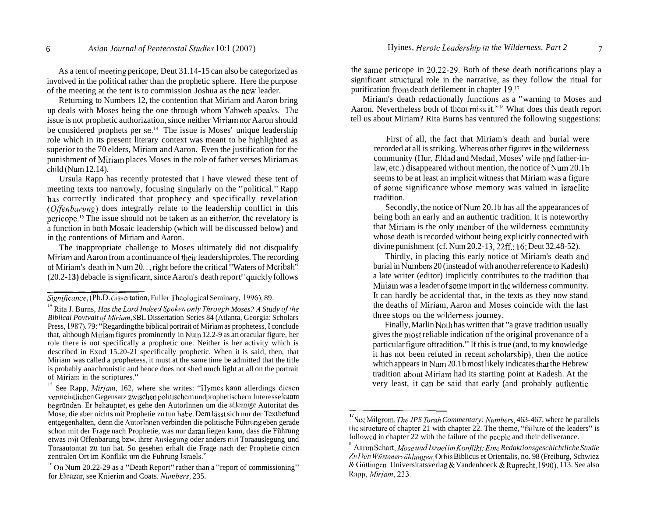As a tent of meeting pericope, Deut 31.14-15 can also be categorized as involved in the political rather than the prophetic sphere. Here the purpose of the meeting at the tent is to commission Joshua as the new leader.

Returning to Numbers 12, the contention that Miriam and Aaron bring up deals with Moses being the one through whom Yahweh speaks. The issue is not prophetic authorization, since neither Miriam nor Aaron should be considered prophets per se.<sup> $14$ </sup> The issue is Moses' unique leadership role which in its present literary context was meant to be highlighted as superior to the 70 elders, Miriam and Aaron. Even the justification for the punishment of Miriam places Moses in the role of father verses Miriam as  $child(Num 12.14)$ .

Ursula Rapp has recently protested that I have viewed these tent of meeting texts too narrowly, focusing singularly on the "political." Rapp has correctly indicated that prophecy and specifically revelation *(Offenbavzing)* does integrally relate to the leadership conflict in this pericope.<sup>15</sup> The issue should not be taken as an either/or, the revelatory is a function in both Mosaic leadership (which will be discussed below) and in the contentions of Miriam and Aaron.

The inappropriate challenge to Moses ultimately did not disqualify Miriain and Aaron from a continuance of their leadership roles. The recording of Miriam's death in Num 20.1, right before the critical "Waters of Meribah" (20.2-13) debacle is significant, since Aaron's death report<sup>"</sup> quickly follows um's dea<br>3) debad<br>*unce* (Pl

<sup>15</sup> See Rapp, *Mirjam*, 162, where she writes: "Hymes kann allerdings diesen verrneintlichen Gegensatz zwischen politischern undprophetischern lnteresse kauni begriinden. Er behauptet, es gehe den Autorlnnen um die alleinige Autoritat des Mose, die aber nichts mit Prophetie zu tun habe. Dem lässt sich nur der Textbefund entgegenhalten, denn die AutorInnen verbinden die politische Fuhrung eben gerade schon mit der Frage nach Prophetie, was nur daran liegen kann, dass die Fiihrung etwas rnit Offenbarung bzw. ihrer Auslegung oder anders init Toraauslegung und Toraautontat zu tun hat. So gesehen erhalt die Frage nach der Prophetie einen zentralen Ort im Konflikt um die Fuhrung Israels."

<sup>16</sup> On Num 20.22-29 as a "Death Report" rather than a "report of commissioning" for Eleazar, see Knjerim and Coats. *Numbevs,* 235.

the same pericope in 20.22-29. Both of these death notifications play a significant structural role in the narrative, as they follow the ritual for purification from death defilement in chapter 19."

Miriam's death redactionally functions as a "warning to Moses and Aaron. Nevertheless both of them miss it."<sup>18</sup> What does this death report tell us about Miriam? Rita Burns has ventured the following suggestions:

First of all, the fact that Miriam's death and burial were recorded at all is striking. Whereas other figures in the wilderness community (Hur, Eldad and Medad, Moses' wife and father-inlaw, etc.) disappeared without mention, the notice of Num 20.1b seems to be at least an implicit witness that Miriam was a figure of some significance whose memory was valued in Israelite tradition.

Secondly, the notice of Num 20.1b has all the appearances of being both an early and an authentic tradition. It is noteworthy that Miriam is the only member of the wilderness community whose death is recorded without being explicitly connected with divine punishment (cf. Num 20.2-13, 22ff.: 16: Deut 32.48-52).

Thirdly, in placing this early notice of Miriam's death and burial in Numbers 20 (instead of with another reference to Kadesh) a late writer (editor) implicitly contributes to the tradition that Miriam was a leader of some import in the wilderness community. It can hardly be accidental that, in the texts as they now stand the deaths of Miriam, Aaron and Moses coincide with the last three stops on the wilderness journey.

Finally, Marlin Noth has written that "a grave tradition usually gives the most reliable indication of the original provenance of a particular figure oftradition." lf this is true (and, to my knowledge it has not been refuted in recent scholarship), then the notice which appears in Num 20.1 b most likely indicates that the Hebrew tradition about. Miriam had its starting point at Kadesh. At the very least, it can be said that early (and probably authentic

*Significance*, *(Ph.D. dissertation, Fuller Theological Seminary, 1996), 89.* 

<sup>&</sup>lt;sup>14</sup> Rita J. Burns, *Has the Lord Indeed Spoken only Through Moses? A Study of the Biblical Povtvait oj'hliviam,SBL* Dissertation Series 84 (Atlanta, Georgia: Scholars Press, 1987). 79: "Regarding the biblical portrait of Miriam as prophetess, 1 conclude that, although Miriam figures prominently in Nuin 12.2-9 as an oracular figure, her role there is not specifically a prophetic one. Neither is her activity which is described in Exod 15.20-21 specifically prophetic. When it is said, then, that Miriam was called a prophetess, it must at the same time be admitted that the title is probably anachronistic and hence does not shed much light at all on the portrait of Miriam in the scriptures."

<sup>&</sup>lt;sup>1</sup> See Milgrom, *The JPS Torah Commentary: Numbers*, 463-467, where he parallels the structure of chapter 21 with chapter 22. The theme, "failure of the leaders" is li)lowcd in chapter 22 with the failure of the pcople and their deliverance.

<sup>&</sup>lt;sup>1</sup> Aaron Schart, *Mose und Israel im Konflikt: Eine Redaktionsgeschichtliche Studie %/I /)oil Wi~stene~zuhl~ngen,* Orbis Biblicus et Orientalis, no. 98 (Freiburg, Schwiez A! ( iiittingen: Universitatsverlag & Vandenhoeck & Ruprecht, 1990), 113. See also **Rapp,** *Mirjam*, 233.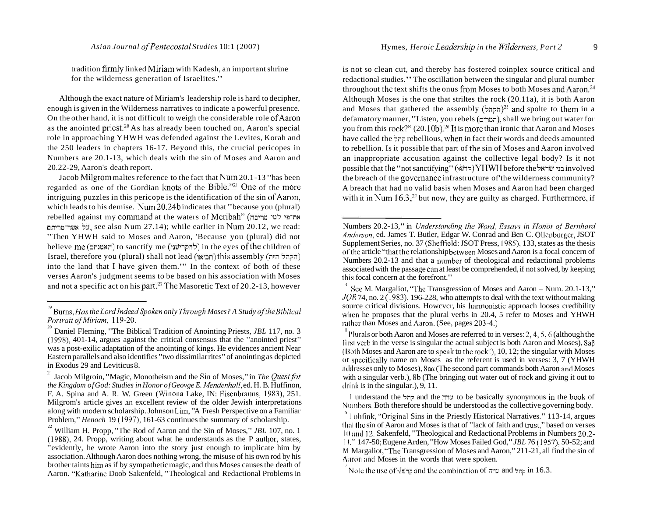tradition firmly linked Miriam with Kadesh, an important shrine for the wilderness generation of Israelites.'"

Although the exact nature of Miriam's leadership role is hard to decipher, enough is given in the Wilderness narratives to indicate a powerful presence. On the other hand, it is not difficult to weigh the considerable role of Aaron as the anointed priest.<sup>20</sup> As has already been touched on, Aaron's special role in approaching YHWH was defended against the Levites, Korah and the 250 leaders in chapters 16-17. Beyond this, the crucial pericopes in Numbers are 20.1-13, which deals with the sin of Moses and Aaron and 20.22-29, Aaron's death report.

Jacob Milgrom maltes reference to the fact that Num 20.1-13 "has been regarded as one of the Gordian knots of the Bible."<sup>21</sup> One of the more intriguing puzzles in this pericope is the identification of the sin of Aaron, which leads to his demise. Num 20.24b indicates that "because you (plural) rebelled against my command at the waters of Meribah" (מי מריבה על אשר־מריחם, see also Num 27.14); while earlier in Num 20.12, we read: "Then YHWH said to Moses and Aaron, 'Because you (plural) did not believe me (האמנתם) to sanctify me (להקרישני) in the eyes of the children of Israel, therefore you (plural) shall not lead (חביאו) this assembly (חקהל הזה) into the land that I have given them."' In the context of both of these verses Aaron's judgment seems to be based on his association with Moses and not a specific act on his part.<sup>22</sup> The Masoretic Text of 20.2-13, however is not so clean cut, and thereby has fostered coinplex source critical and redactional studies." The oscillation between the singular and plural number throughout the text shifts the onus from Moses to both Moses and Aaron.<sup>24</sup> Although Moses is the one that striltes the rock (20.11 a), it is both Aaron and Moses that gathered the assembly  $(5,1)$ <sup>25</sup> and spolte to them in a defamatory manner, "Listen, you rebels (המרים), shall we bring out water for you from this rock?" (20.10b).<sup>26</sup> It is more than ironic that Aaron and Moses have called the 5;rp rebellious, when in fact their words and deeds amounted to rebellion. Is it possible that part of the sin of Moses and Aaron involved an inappropriate accusation against the collective legal body? Is it not possible that the "not sanctifying" (קרשי) YHWH before the וּ $\blacksquare$ involved the breach of the governance infrastructure of'the wilderness community? A breach that had no valid basis when Moses and Aaron had been charged with it in Num  $16.3$ ,<sup>27</sup> but now, they are guilty as charged. Furthermore, if

I understand the 5;rp and the mu to be basically synonymous in the book of Numbers. Both therefore should be understood as the collective governing body.

<sup>&</sup>lt;sup>19</sup> Burns, *Has the Lord Indeed Spoken only Through Moses? A Study of the Biblical <i>Portrait of Miriam*, 119-20.

<sup>&</sup>lt;sup>20</sup> Daniel Fleming, "The Biblical Tradition of Anointing Priests, *JBL* 117, no. 3 (1998), 401-14, argues against the critical consensus that the "anointed priest" was a post-exilic adaptation of the anointing of kings. He evidences ancient Near Eastern parallels and also identifies "two dissimilar rites" of anointing as depicted in Exodus 29 and Leviticus 8.

<sup>&</sup>lt;sup>21</sup> Jacob Milgroin, "Magic, Monotheism and the Sin of Moses," in *The Quest for the Kingdom of God: Studies in Honor of Geovge E. Mendenhull,* ed. H. B. Huffinon, F. A. Spina and A. R. W. Green (Winona Lake, IN: Eisenbrauns, 1983), 251. Milgrom's article gives an excellent review of the older Jewish interpretations along with modern scholarship. Johnson Lim, "A Fresh Perspective on a Familiar Problem," *Henoch* 19 (1997), 161-63 continues the summary of scholarship.

<sup>&</sup>lt;sup>22</sup> William H. Propp, "The Rod of Aaron and the Sin of Moses," *JBL* 107, no. 1  $(1988)$ , 24. Propp, writing about what he understands as the P author, states, "evidently, he wrote Aaron into the story just enough to implicate him by association. Although Aaron does nothing wrong, the misuse of his own rod by his brother taints him as if by sympathetic magic, and thus Moses causes the death of Aaron. "Katharine Doob Sakenfeld, "Theological and Redactional Problems in

Numbers 20.2-13," in *Understanding the Word: Essays in Honor of Bernhard Andevson,* ed. James T. Butler, Edgar W. Conrad and Ben C. Ollenburger, JSOT Supplement Series, no. 37 (Sheffield: JSOT Press, 1985), 133, states as the thesis of the article "that the relationship between Moses and Aaron is a focal concern of Numbers 20.2-13 and that a number of theological and redactional problems associated with the passage can at least be comprehended, if not solved, by keeping this focal concern at the forefront." **<sup>I</sup>**

Sce M. Margaliot, "The Transgression of Moses and Aaron - Num. 20.1-13," *.IQR* 74, no. 2 (1983), 196-228, who attempts to deal with the text without making source critical divisions. However, his harmonistic approach looses credibility whcn he proposes that the plural verbs in 20.4, 5 refer to Moses and YHWH rather than Moses and Aaron. (See, pages 203-4.)

 $\text{I}$ <sup>1</sup> Plurals or both Aaron and Moses are referred to in verses: 2, 4, 5, 6 (although the  $\int$ i'irst verb in the verse is singular the actual subject is both Aaron and Moses), 8a $\beta$ (I%olh Moses and Aaron are to speak to thc rock!), 10, 12; the singular with Moses or specifically name on Moses as the referent is used in verses: 3, 7 (YHWH)  $\ddot{\text{u}}$  independent only to Moses),  $8a\alpha$  (The second part commands both Aaron and Moses with a singular verb.), 8b (The bringing out water out of rock and giving it out to  $drink$  is in the singular.), 9, 11.

 $^{\circ}$  I ohfink, "Original Sins in the Priestly Historical Narratives." 113-14, argues 111:11 1 Ilc sin of Aaron and Moses is that of "lack of faith and trust," based on verses 10 and 12. Sakenfeld, "Theological and Redactional Problems in Numbers 20.2-<sup>I</sup>\." 147-50; Eugene Arden, "How Moses Failed God," *JBL* 76 (1957), 50-52; and M Margaliot, "The Transgression of Moses and Aaron," 21 1-21, all find the sin of Airon and Moses in the words that were spoken.

 $\int$ Note the use of  $\sqrt{m}$  and the combination of  $\pi$  and  $\pi$  in 16.3.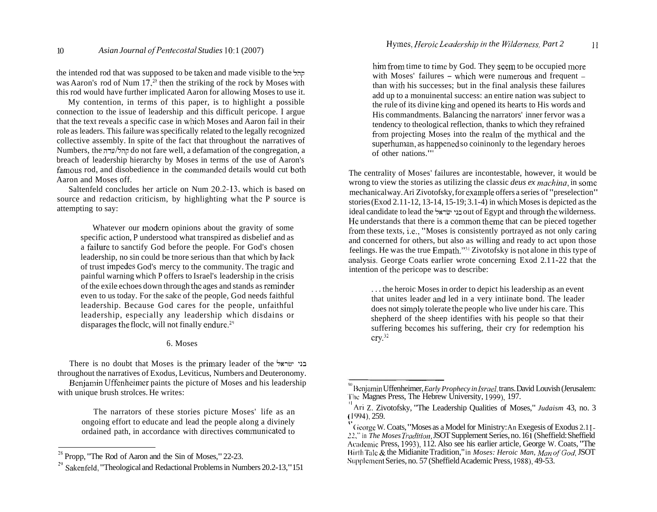the intended rod that was supposed to be talcen and made visible to the **5;ip**  was Aaron's rod of Num  $17<sub>1</sub><sup>28</sup>$  then the striking of the rock by Moses with this rod would have further implicated Aaron for allowing Moses to use it.

My contention, in terms of this paper, is to highlight a possible connection to the issue of leadership and this difficult pericope. I argue that the text reveals a specific case in which Moses and Aaron fail in their role as leaders. This failure was specifically related to the legally recognized collective assembly. In spite of the fact that throughout the narratives of Numbers, the **;iiuli;ip** do not fare well, a defamation of the congregation, a breach of leadership hierarchy by Moses in terms of the use of Aaron's famous rod, and disobedience in the commanded details would cut both Aaron and Moses off.

Saltenfeld concludes her article on Num 20.2-13, which is based on source and redaction criticism, by highlighting what the P source is attempting to say:

Whatever our modern opinions about the gravity of some specific action, P understood what transpired as disbelief and as a failure to sanctify God before the people. For God's chosen leadership, no sin could be tnore serious than that which by lack of trust impedes God's mercy to the community. The tragic and painful warning which P offers to Israel's leadership in the crisis of the exile echoes down through the ages and stands as reminder even to us today. For the sake of the people, God needs faithful leadership. Because God cares for the people, unfaithful leadership, especially any leadership which disdains or disparages the flocle, will not finally endure.<sup>29</sup>

## 6. Moses

There is no doubt that Moses is the primary leader of the **iuiw~** -13 throughout the narratives of Exodus, Leviticus, Numbers and Deuteronomy. Benjamin Uffenheimer paints the picture of Moses and his leadership with unique brush strolces. He writes:

The narrators of these stories picture Moses' life as an ongoing effort to educate and lead the people along a divinely ordained path, in accordance with directives communicated to

him from time to time by God. They seem to be occupied more with Moses' failures  $-$  which were numerous and frequent  $$ than with his successes; but in the final analysis these failures add up to a monuinental success: an entire nation was subject to the rule of its divine king and opened its hearts to His words and His commandments. Balancing the narrators' inner fervor was a tendency to theological reflection, thanks to which they refrained from projecting Moses into the realm of the mythical and the superhuman, as happened so coininonly to the legendary heroes of other nations."'

The centrality of Moses' failures are incontestable, however, it would be wrong to view the stories as utilizing the classic *deus ex machina*, in some mechanical way. Ari Zivotofsky, for example offers a series of "preselection" stories (Exod 2.11-12, 13-14, 15-19; 3.1-4) in which Moses is depicted as the ideal candidate to lead the **~KW-** -J> out of Egypt and through the wilderness. He understands that there is a common theme that can be pieced together from these texts, i.e., "Moses is consistently portrayed as not only caring and concerned for others, but also as willing and ready to act upon those feelings. He was the true Empath."<sup>31</sup> Zivotofsky is not alone in this type of analysis. George Coats earlier wrote concerning Exod 2.11-22 that the intention of the pericope was to describe:

. . . the heroic Moses in order to depict his leadership as an event that unites leader and led in a very intiinate bond. The leader does not simply tolerate the people who live under his care. This shepherd of the sheep identifies with his people so that their suffering becomes his suffering, their cry for redemption his  $\text{cry.}^{32}$ 

Propp, "The Rod of Aaron and the Sin of Moses," 22-23.

**<sup>2</sup>Y** Salcenfeld, "Theological and Redactional Problems in Numbers 20.2-13," 151

<sup>&</sup>lt;sup>10</sup> Benjamin Uffenheimer, *Early Prophecy in Israel*, *trans. David Louvish (Jerusalem:* The Magnes Press, The Hebrew University, 1999), 197.

<sup>&#</sup>x27;I Ari Z. Zivotofsky, "The Leadership Qualities of Moses," *Judaism* 43, no. 3

<sup>&</sup>lt;sup>'</sup>' George W. Coats, "Moses as a Model for Ministry: An Exegesis of Exodus 2.11-*22,"* in *The Moses Tradition,* JSOT Supplement Series, no. 16 1 (Sheffield: Sheffield Academic Press, 1993), 112. Also see his earlier article, George W. Coats, "The I4i1,lh Talc & the Midianite Tradition," in *Moses: Heroic Man, Man ofGod,* JSOT Supplement Series, no. 57 (Sheffield Academic Press, 1988), 49-53.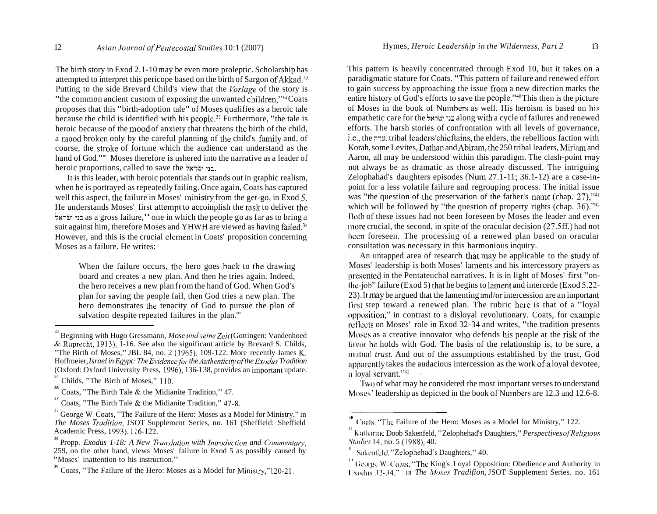The birth story in Exod 2.1-10 may be even more proleptic. Scholarship has attempted to interpret this pericope based on the birth of Sargon of Akkad.<sup>33</sup> Putting to the side Brevard Child's view that the *Vorlage* of the story is "the common ancient custom of exposing the unwanted children,"j4 Coats proposes that this "birth-adoption tale" of Moses qualifies as a heroic tale because the child is identified with his people.<sup>35</sup> Furthermore, "the tale is heroic because of the mood of anxiety that threatens the birth of the child, a mood broken only by the careful planning of the child's family and, of course, the stroke of fortune which the audience can understand as the hand of God."'" Moses therefore is ushered into the narrative as a leader of heroic proportions, called to save the **5~~7** -13.

It is this leader, with heroic potentials that stands out in graphic realism, when he is portrayed as repeatedly failing. Once again, Coats has captured well this aspect, the failure in Moses' ministry from the get-go, in Exod 5. He understands Moses' first attempt to accoinplish the task to deliver the **Iuiw-** -12 as a gross failure," one in which the people go as far as to bring a suit against him, therefore Moses and YHWH are viewed as having failed.<sup>38</sup> However, and this is the crucial element in Coats' proposition concerning Moses as a failure. He writes:

When the failure occurs, the hero goes back to the drawing board and creates a new plan. And then he tries again. Indeed, the hero receives a new plan from the hand of God. When God's plan for saving the people fail, then God tries a new plan. The hero demonstrates the tenacity of God to pursue the plan of salvation despite repeated failures in the plan."

This pattern is heavily concentrated through Exod 10, but it takes on a paradigmatic stature for Coats. "This pattern of failure and renewed effort to gain success by approaching the issue from a new direction marks the entire history of  $God's$  efforts to save the people." $40$  This then is the picture of Moses in the book of Numbers as well. His heroism is based on his empathetic care for the **I~iw-** along with a cycle of failures and renewed efforts. The harsh stories of confrontation with all levels of governance, i.e., the **2x7,** tribal leaders/chieftains, the elders, the rebellious faction with Korah, some Levites, Dathan and Abiram, the 250 tribal leaders, Miriam and Aaron, all may be understood within this paradigm. The clash-point may not always be as dramatic as those already discussed. The intriguing Zelophahad's daughters episodes (Num 27.1-11; 36.1-12) are a case-inpoint for a less volatile failure and regrouping process. The initial issue was "the question of the preservation of the father's name (chap.  $27$ ),"<sup>41</sup> which will be followed by "the question of property rights (chap.  $36$ )."<sup>42</sup> 130th of these issues had not been foreseen by Moses the leader and even Inore crucial, the second, in spite of the oracular decision (27.5ff.) had not bccn foreseen. The processing of a renewed plan based on oracular consultation was necessary in this harmonious inquiry.

An untapped area of research that may be applicable to the study of Moses' leadership is both Moses' laments and his intercessory prayers as presented in the Pentateuchal narratives. It is in light of Moses' first "on- $I$ he-job" failure (Exod 5) that he begins to lament and intercede (Exod 5.22-23). It may be argued that the lamenting and/or intercession are an important first step toward a renewed plan. The rubric here is that of a "loyal" opposition," in contrast to a disloyal revolutionary. Coats, for example reflects on Moses' role in Exod 32-34 and writes. "the tradition presents Moscs as a creative innovator who defends his people at the risk of the lit il il il a holds with God. The basis of the relationship is, to be sure, a mutual *trust*. And out of the assumptions established by the trust, God apparently takes the audacious intercession as the work of a loyal devotee,  $\frac{1}{2}$  loyal servant." $43$ 

'Ilvo of what may be considered the most important verses to understand Moses' leadership as depicted in the book of Numbers are 12.3 and 12.6-8.

 $\beta$ <sup>3</sup> Beginning with Hugo Gressmann, *Mose und seine Zeit* (Gottingen: Vandenhoed & Ruprecht, 1913), 1-16. See also the significant article by Brevard S. Childs, "The Birth of Moses," JBL 84, no. 2 (1965), 109-122. More recently James  $K$ . Hoffmeier, *Israel in Egypt: The Evidence for the Authenticity of the Exodus Tradition* (Oxford: Oxford University Press, 1996), 136-138, provides an important update.

Childs, "The Birth of Moses," 110.

**<sup>35</sup>**Coats, "The Birth Tale & the Midianite Tradition," 47.

*<sup>36</sup>* Coats, "The Birth Tale & the Midianite Tradition," 47-8.

<sup>&</sup>lt;sup>3<sup>i</sup> George W. Coats, "The Failure of the Hero: Moses as a Model for Ministry," in</sup> *The Moses Tradifion,* JSOT Supplement Series, no. 161 (Sheffield: Sheffield Academic Press, 1993). 116-122.

<sup>&</sup>lt;sup>38</sup> Propp. *Exodus 1-18: A New Translation with Introduction and Commentary,* 259, on the other hand, views Moses' failure in Exod 5 as possibly caused by "Moses' inattention to his instruction."

<sup>&</sup>lt;sup>39</sup> Coats, "The Failure of the Hero: Moses as a Model for Ministry,"120-21.

U (a) Coats, "The Failure of the Hero: Moses as a Model for Ministry," 122.

<sup>&</sup>lt;sup>11</sup> Katharine Doob Sakenfeld. "Zelophehad's Daughters," *Perspectives of Religious* Studies 14, no. 5 (1988), 40.

Sakenfeld, "Zelophehad's Daughters." 40.

<sup>&#</sup>x27;I George W. Coats, "The King's Loyal Opposition: Obedience and Authority in Istudus 32-34," in *The Moses Tradifion*, JSOT Supplement Series. no. 161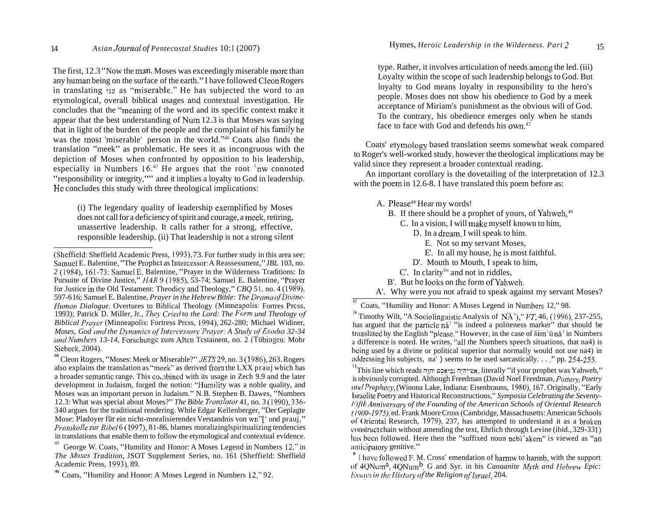The first, 12.3 "Now the man, Moses was exceedingly miserable inore than any human being on the surface of the earth." I have followed Cleon Rogers in translating **~IU** as "miserable." He has subjected the word to an etymological, overall biblical usages and contextual investigation. He concludes that the "meaning of the word and its specific context make it appear that the best understanding of Num 12.3 is that Moses was saying that in light of the burden of the people and the complaint of his family he was the most 'miserable' person in the world."<sup>44</sup> Coats also finds the translation "meek" as problematic. He sees it as incongruous with the depiction of Moses when confronted by opposition to his leadership, especially in Numbers  $16<sup>45</sup>$  He argues that the root 'nw connoted "responsibility or integrity,"'" and it implies a loyalty to God in leadership. He concludes this study with three theological implications:

(i) The legendary quality of leadership exemplified by Moses does not call for a deficiency of spirit and courage, a meek, retiring, unassertive leadership. It calls rather for a strong, effective, responsible leadership. (ii) That leadership is not a strong silent type. Rather, it involves articulation of needs anong the led. (iii) Loyalty within the scope of such leadership belongs to God. But loyalty to God means loyalty in responsibility to the hero's people. Moses does not show his obedience to God by a meek acceptance of Miriam's punishment as the obvious will of God. To the contrary, his obedience emerges only when he stands face to face with God and defends his own.<sup>47</sup>

Coats' etymology based translation seems somewhat weak compared to Roger's well-worked study, however the theological implications may be valid since they represent a broader contextual reading.

An important corollary is the dovetailing of the interpretation of 12.3 with the poem in 12.6-8. I have translated this poem before as:

A. Please<sup>48</sup> Hear my words!

- B. If there should be a prophet of yours, of Yahweh, $49$ 
	- C. In a vision, I will make myself known to him,
		- D. In a dream, I will speak to him.
			- E. Not so iny servant Moses,

E'. In all my house, he is most faithful.

- D'. Mouth to Mouth, I speak to him,
- $C'$ . In clarity<sup>5</sup>" and not in riddles,
- B'. But he looks on the form of Yahweh.
- A'. Why were you not afraid to speak against my servant Moses?

<sup>17</sup> Coats, "Humility and Honor: A Moses Legend in Numbers 12," 98.

 $^{\rm D}$ This line which reads אִם־יַחְיֶה גְּבִיאֵכְם יִהוֹה, literally "if your prophet was Yahweh," is obviously corrupted. Although Freedman (David Noel Freedman, *Pottery, Poetry catrd Prophecy, (Winona Lake, Indiana: Eisenbrauns, 1980), 167. Originally, "Early* Israelite Poetry and Historical Reconstructions," *Symposia Celebrating the Seventyliifth Anniversary of the Founding of the American Schools of Oriental Research (19011-197\_0,* ed. Frank Moore Cross (Cambridge, Massachusetts: American Schools ol' Oricntal Research, 1979), 237, has attempted to understand it as a broken construct chain without amending the text, Ehrlich through Levine (ibid., 329-331) hus been followed. Here then the "suffixed noun nebi<sup>3</sup>akem" is viewed as "an unticipatory genitive."

 $\frac{1}{1}$  I have followed F. M. Cross' emendation of harmw to harmb, with the support of 4QNum<sup>a</sup>, 4QNum<sup>b</sup>, G and Syr. in his *Canaanite Myth and Hebrew Epic: <i>Exxary* in the History of the Religion of Israel, 204.

 $(Sheffield: Sheffield Academic Press, 1993), 73. For further study in this area see:$ Samuel E. Balentine, "The Prophct as Inlercessor: A Reassessment," *JBL* 103, no. 2 (1984), 161-73; Samuel E. Balentine, "Prayer in the Wilderness Traditions: In Pursuite of Divine Justice," *f1AR* 9 (1985), 53-74; Samuel E. Balentine, "Prayer for Justice in the Old Testament: Theodicy and Theology," *CBQ* 5 1, no. 4 (1 989), 597-6 16; Samuel E. Balentine, *Prayer in the Hebrew Bible: The Drurna ofDivii7e-Human Dialogue.* Overtures to Biblical Theology (Minneapolis: Fortres Prcss, 1993); Patrick D. Miller, Jr., *They Cried to the Lord: The Form und Theology of Biblical Pruyer* (Minneapolis: Fortress Prcss, 1994), 262-280; Michael Widiner, *Moses, God and the Dynamics of Intercessory Prayer: A Study of Exodus 32-34 urid ~Vun~bers 13-14,* Forschungc zum Altcn Tcstainent, no. 2 (Tiibingen: Mohr Siebeck, 2004).

<sup>44</sup>Cleon Rogers, "Moses: Meek or Miserable?" *JETS29,* no. 3 (1986), 263. Rogers also explains the translation as "meek" as derived from the LXX prauj which has a broader semantic range. This co..lbined with its usage in Zech 9.9 and the later development in Judaism, forged the notion: "Humility was a noble quality, and Moses was an important person in Judaism." N.B. Stephen B. Dawes, "Numbers 12.3: What was special about Moses?" *The Bible Truns/crtor* 41, no. 3 (1990), 336- 340 argues for the traditional rendering. While Edgar Kellenberger, "Der Geplagte Mose: Pladover für ein nicht-moralisierendes Verstandnis von wn"[' und prauj," *Protokolle zur Bibel* 6 (1997), 81-86, blames moralizinglspiritualizing tendencies in translations that enable them to follow the etymological and contextual evidence.

 $45$  George W. Coats, "Humility and Honor: A Moses Legend in Numbers 12," in *The hloses Tradition,* JSOT Supplement Series, no. 161 (Sheffield: Sheffield Academic Press, 1993), 89.

<sup>&</sup>lt;sup>1</sup> Coats, "Humility and Honor: A Moses Legend in Numbers 12," 92.

<sup>&</sup>lt;sup>18</sup> Timothy Wilt, "A Sociolinguistic Analysis of  $N\overline{A}$ <sup>3</sup>)," *VT*, 46, (1996), 237-255, has argued that the particle na<sup>'</sup> "is indeed a politeness marker" that should be translated by the English "please." However, in the case of šim 'û na' in Numbers a difference is noted. He writes, "all the Numbers speech situations, that na4) is being used by a divine or political superior that normally would not use na4) in addressing his subjects, na' ) seems to be used sarcastically. . . ." pp. 254-255.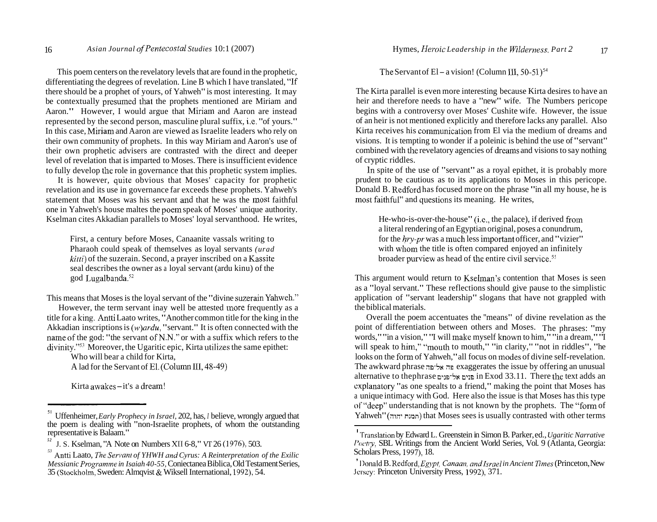This poem centers on the revelatory levels that are found in the prophetic, differentiating the degrees of revelation. Line B which I have translated, "If there should be a prophet of yours, of Yahweh" is most interesting. It may be contextually presumed that the prophets mentioned are Miriam and Aaron." However, I would argue that Miriam and Aaron are instead represented by the second person, masculine plural suffix, i.e. "of yours." In this case, Miriam and Aaron are viewed as Israelite leaders who rely on their own community of prophets. In this way Miriam and Aaron's use of their own prophetic advisers are contrasted with the direct and deeper level of revelation that is imparted to Moses. There is insufficient evidence to fully develop the role in governance that this prophetic system implies.

It is however, quite obvious that Moses' capacity for prophetic revelation and its use in governance far exceeds these prophets. Yahweh's statement that Moses was his servant and that he was the most faithful one in Yahweh's house maltes the poem speak of Moses' unique authority. Kselman cites Akkadian parallels to Moses' loyal servanthood. He writes,

First, a century before Moses, Canaanite vassals writing to Pharaoh could speak of themselves as loyal servants *(urad kitti*) of the suzerain. Second, a prayer inscribed on a Kassite seal describes the owner as a loyal servant (ardu kinu) of the god Lugalbanda.<sup>52</sup>

This means that Moses is the loyal servant of the "divine suzerain Yahweh."

However, the term servant inay well be attested inore frequently as a title for a king, Antti Laato writes, "Another common title for the king in the Akkadian inscriptions is *(w)ardu,* "servant." It is often connected with the name of the god: "the servant of N.N." or with a suffix which refers to the divinity."<sup>53</sup> Moreover, the Ugaritic epic. Kirta utilizes the same epithet:

Who will bear a child for Kirta, A lad for the Servant of El. (Column III, 48-49)

Kirta awakes – it's a dream!

The Servant of El – a vision! (Column III, 50-51)<sup>54</sup>

The Kirta parallel is even more interesting because Kirta desires to have an heir and therefore needs to have a "new" wife. The Numbers pericope begins with a controversy over Moses' Cushite wife. However, the issue of an heir is not mentioned explicitly and therefore lacks any parallel. Also Kirta receives his communication from El via the medium of dreams and visions. It is tempting to wonder if a poleinic is behind the use of "servant" combined with the revelatory agencies of dreams and visions to say nothing of cryptic riddles.

In spite of the use of "servant" as a royal epithet, it is probably more prudent to be cautious as to its applications to Moses in this pericope. Donald B. Redford has focused more on the phrase "in all my house, he is most faithful" and questions its meaning. He writes,

He-who-is-over-the-house" (i.e., the palace), if derived from a literal rendering of an Egyptian original, poses a conundrum, for the *hry-pr* was a much less important officer, and "vizier" with whom the title is often compared enjoyed an infinitely broader purview as head of the entire civil service.<sup>55</sup>

This argument would return to Kselman's contention that Moses is seen as a "loyal servant." These reflections should give pause to the simplistic application of "servant leadership" slogans that have not grappled with the biblical materials.

Overall the poem accentuates the ''means" of divine revelation as the point of differentiation between others and Moses. The phrases: "my words," "in a vision," "I will make myself known to him," "in a dream," "I will speak to him," "mouth to mouth," "in clarity," "not in riddles", "he looks on the form of Yahweh," all focus on modes of divine self-revelation. The awkward phrase **73-5u** 39 exaggerates the issue by offering an unusual alternative to thephrase **D.>D-~u n-ID** in Exod 33.11. There the text adds an cxplanatory "as one spealts to a friend," making the point that Moses has a unique intimacy with God. Here also the issue is that Moses has this type ol"'deep" understanding that is not known by the prophets. The "form of Yahweh" *(777-* n~nn) that Moses sees is usually contrasted with other terms

Uffenheimer, *Early Prophecy in Israel*, 202, has, *I* believe, wrongly argued that the poem is dealing with "non-Israelite prophets, of whom the outstanding representative is Balaam."

*J. S. Kselman, "A Note on Numbers XII 6-8," VT 26 (1976), 503.* 

**<sup>5333</sup>**Antti Laato, *The Servant of YHWH and Cyrus: A Reinterpretation of the Exilic Messianic Programme in Isaiah 40-55, Coniectanea Biblica, Old Testament Series,* 35 (Stockholm, Sweden: Almqvist & Wiksell International, 1992), 54.

<sup>I</sup>'Translation by Edward L. Greenstein in Simon B. Parker, ed., *Ugaritic Narrative Poetry*, SBL Writings from the Ancient World Series, Vol. 9 (Atlanta, Georgia: Scholars Press, 1997), 18.

<sup>1)</sup>onald B. Redford, *Egpt, Canaan, andIsrael in Ancient Times* (Princeton, New Jersey: Princeton University Press, 1992), 371.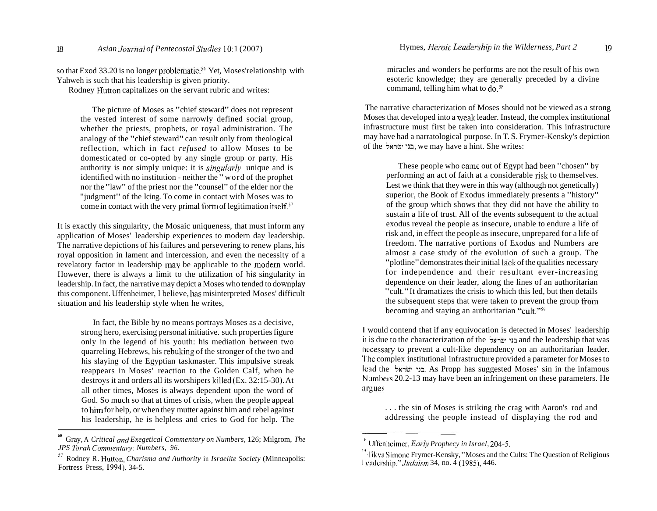so that Exod 33.20 is no longer problematic.<sup>56</sup> Yet, Moses'relationship with Yahweh is such that his leadership is given priority.

Rodney Hutton capitalizes on the servant rubric and writes:

The picture of Moses as "chief steward" does not represent the vested interest of some narrowly defined social group, whether the priests, prophets, or royal administration. The analogy of the "chief steward" can result only from theological reflection, which in fact *refused* to allow Moses to be domesticated or co-opted by any single group or party. His authority is not simply unique: it is *singularly* unique and is identified with no institution - neither the "word of the prophet nor the "law" of the priest nor the "counsel" of the elder nor the "judgment" of the Icing. To come in contact with Moses was to come in contact with the very primal form of legitimation itself. $57$ 

It is exactly this singularity, the Mosaic uniqueness, that must inform any application of Moses' leadership experiences to modern day leadership. The narrative depictions of his failures and persevering to renew plans, his royal opposition in lament and intercession, and even the necessity of a revelatory factor in leadership may be applicable to the modern world. However, there is always a limit to the utilization of his singularity in leadership. In fact, the narrative may depict a Moses who tended to downplay this component. Uffenheimer, I believe, has misinterpreted Moses' difficult situation and his leadership style when he writes,

In fact, the Bible by no means portrays Moses as a decisive, strong hero, exercising personal initiative. such properties figure only in the legend of his youth: his mediation between two quarreling Hebrews, his rebuking of the stronger of the two and his slaying of the Egyptian taskmaster. This impulsive streak reappears in Moses' reaction to the Golden Calf, when he destroys it and orders all its worshipers killed (Ex. 32: 15-30). At all other times, Moses is always dependent upon the word of God. So much so that at times of crisis, when the people appeal to him for help, or when they mutter against him and rebel against his leadership, he is helpless and cries to God for help. The

miracles and wonders he performs are not the result of his own esoteric knowledge; they are generally preceded by a divine command, telling him what to  $do.^{58}$ 

The narrative characterization of Moses should not be viewed as a strong Moses that developed into a weak leader. Instead, the complex institutional infrastructure must first be taken into consideration. This infrastructure may have had a narratological purpose. In T. S. Frymer-Kensky's depiction of the **5~1~- -311,** we may have a hint. She writes:

These people who came out of Egypt had been "chosen" by performing an act of faith at a considerable risk to themselves. Lest we think that they were in this way (although not genetically) superior, the Book of Exodus immediately presents a "history" of the group which shows that they did not have the ability to sustain a life of trust. All of the events subsequent to the actual exodus reveal the people as insecure, unable to endure a life of risk and, in effect the people as insecure, unprepared for a life of freedom. The narrative portions of Exodus and Numbers are almost a case study of the evolution of such a group. The "plotline" demonstrates their initial lack of the qualities necessary for independence and their resultant ever-increasing dependence on their leader, along the lines of an authoritarian "cult." It dramatizes the crisis to which this led, but then details the subsequent steps that were taken to prevent the group from becoming and staying an authoritarian "cult."<sup>59</sup>

I would contend that if any equivocation is detected in Moses' leadership il is due to the characterization of the **~KTW? -32** and the leadership that was necessary to prevent a cult-like dependency on an authoritarian leader. 'The complex institutional infrastructure provided a parameter for Moses to Icad the **5~1~- -311.** As Propp has suggested Moses' sin in the infamous Numbers 20.2-13 may have been an infringement on these parameters. He argues

. . . the sin of Moses is striking the crag with Aaron's rod and addressing the people instead of displaying the rod and

**<sup>56</sup>**  Gray, A *Critical and Exegetical Commentary on Numbers,* 126; Milgrom, *The JPS Torah Commentary: Numbers, 96.* 

<sup>57</sup>Rodney R. Hutton, *Charisma and Authority* in *Israelite Society* (Minneapolis: Fortress Press, 1994), 34-5.

<sup>&</sup>lt;sup>8</sup> Uffenheimer, *Early Prophecy in Israel*, 204-5.

<sup>&</sup>lt;sup>11</sup> I'ikva Simone Frymer-Kensky, "Moses and the Cults: The Question of Religious I cadership,"  $Judaism$  34, no. 4 (1985), 446.